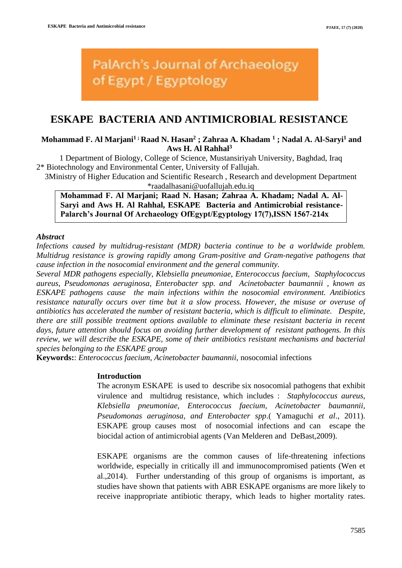**PalArch's Journal of Archaeology** of Egypt / Egyptology

# **ESKAPE BACTERIA AND ANTIMICROBIAL RESISTANCE**

## **Mohammad F. Al Marjani1 ; Raad N. Hasan<sup>2</sup> ; Zahraa A. Khadam <sup>1</sup> ; Nadal A. Al-Saryi<sup>1</sup> and Aws H. Al Rahhal<sup>3</sup>**

1 Department of Biology, College of Science, Mustansiriyah University, Baghdad, Iraq 2\* Biotechnology and Environmental Center, University of Fallujah.

3Ministry of Higher Education and Scientific Research , Research and development Department \*raadalhasani@uofallujah.edu.iq

**Mohammad F. Al Marjani; Raad N. Hasan; Zahraa A. Khadam; Nadal A. Al-Saryi and Aws H. Al Rahhal, ESKAPE Bacteria and Antimicrobial resistance-Palarch's Journal Of Archaeology OfEgypt/Egyptology 17(7),ISSN 1567-214x**

## *Abstract*

*Infections caused by multidrug-resistant (MDR) bacteria continue to be a worldwide problem. Multidrug resistance is growing rapidly among Gram-positive and Gram-negative pathogens that cause infection in the nosocomial environment and the general community.*

*Several MDR pathogens especially, Klebsiella pneumoniae, Enterococcus faecium, Staphylococcus aureus, Pseudomonas aeruginosa, Enterobacter spp. and Acinetobacter baumannii , known as ESKAPE pathogens cause the main infections within the nosocomial environment. Antibiotics resistance naturally occurs over time but it a slow process. However, the misuse or overuse of antibiotics has accelerated the number of resistant bacteria, which is difficult to eliminate. Despite, there are still possible treatment options available to eliminate these resistant bacteria in recent days, future attention should focus on avoiding further development of resistant pathogens. In this review, we will describe the ESKAPE, some of their antibiotics resistant mechanisms and bacterial species belonging to the ESKAPE group*

**Keywords:**: *Enterococcus faecium, Acinetobacter baumannii,* nosocomial infections

#### **Introduction**

The acronym ESKAPE is used to describe six nosocomial pathogens that exhibit virulence and multidrug resistance, which includes : *Staphylococcus aureus, Klebsiella pneumoniae, Enterococcus faecium, Acinetobacter baumannii, Pseudomonas aeruginosa, and Enterobacter spp*.( Yamaguchi *et al*., 2011). ESKAPE group causes most of nosocomial infections and can escape the biocidal action of antimicrobial agents (Van Melderen and DeBast,2009).

ESKAPE organisms are the common causes of life-threatening infections worldwide, especially in critically ill and immunocompromised patients (Wen et al.,2014). Further understanding of this group of organisms is important, as studies have shown that patients with ABR ESKAPE organisms are more likely to receive inappropriate antibiotic therapy, which leads to higher mortality rates.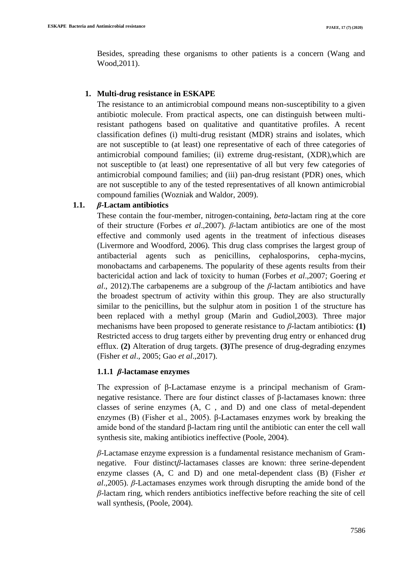Besides, spreading these organisms to other patients is a concern (Wang and Wood,2011).

## **1. Multi-drug resistance in ESKAPE**

The resistance to an antimicrobial compound means non-susceptibility to a given antibiotic molecule. From practical aspects, one can distinguish between multiresistant pathogens based on qualitative and quantitative profiles. A recent classification defines (i) multi-drug resistant (MDR) strains and isolates, which are not susceptible to (at least) one representative of each of three categories of antimicrobial compound families; (ii) extreme drug-resistant, (XDR),which are not susceptible to (at least) one representative of all but very few categories of antimicrobial compound families; and (iii) pan-drug resistant (PDR) ones, which are not susceptible to any of the tested representatives of all known antimicrobial compound families (Wozniak and Waldor, 2009).

## **1.1.** *β***-Lactam antibiotics**

These contain the four-member, nitrogen-containing, *beta*-lactam ring at the core of their structure (Forbes *et al*.,2007). *β*-lactam antibiotics are one of the most effective and commonly used agents in the treatment of infectious diseases (Livermore and Woodford, 2006). This drug class comprises the largest group of antibacterial agents such as penicillins, cephalosporins, cepha-mycins, monobactams and carbapenems. The popularity of these agents results from their bactericidal action and lack of toxicity to human (Forbes *et al*.,2007; Goering *et al*., 2012).The carbapenems are a subgroup of the *β*-lactam antibiotics and have the broadest spectrum of activity within this group. They are also structurally similar to the penicillins, but the sulphur atom in position 1 of the structure has been replaced with a methyl group (Marin and Gudiol,2003). Three major mechanisms have been proposed to generate resistance to *β*-lactam antibiotics: **(1)** Restricted access to drug targets either by preventing drug entry or enhanced drug efflux. **(2)** Alteration of drug targets. **(3)**The presence of drug-degrading enzymes (Fisher *et al*., 2005; Gao *et al*.,2017).

## **1.1.1** *β***-lactamase enzymes**

The expression of β-Lactamase enzyme is a principal mechanism of Gramnegative resistance. There are four distinct classes of β-lactamases known: three classes of serine enzymes (A, C , and D) and one class of metal-dependent enzymes (B) (Fisher et al., 2005). β-Lactamases enzymes work by breaking the amide bond of the standard β-lactam ring until the antibiotic can enter the cell wall synthesis site, making antibiotics ineffective (Poole, 2004).

*β*-Lactamase enzyme expression is a fundamental resistance mechanism of Gramnegative. Four distinct*β*-lactamases classes are known: three serine-dependent enzyme classes (A, C and D) and one metal-dependent class (B) (Fisher *et al*.,2005). *β*-Lactamases enzymes work through disrupting the amide bond of the *β*-lactam ring, which renders antibiotics ineffective before reaching the site of cell wall synthesis, (Poole, 2004).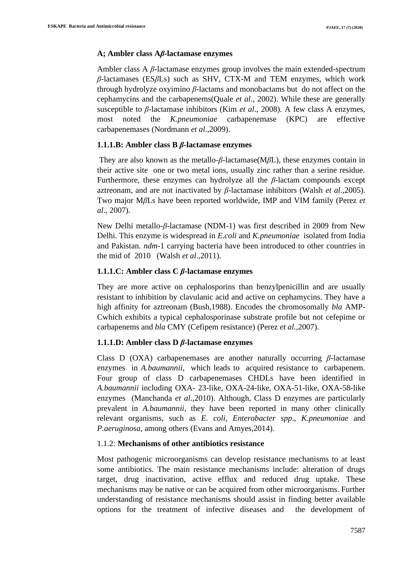#### **A; Ambler class A***β***-lactamase enzymes**

Ambler class A *β*-lactamase enzymes group involves the main extended-spectrum *β*-lactamases (ES*β*Ls) such as SHV, CTX-M and TEM enzymes, which work through hydrolyze oxyimino *β***-**lactams and monobactams but do not affect on the cephamycins and the carbapenems(Quale *et al*., 2002). While these are generally susceptible to *β*-lactamase inhibitors (Kim *et al*., 2008). A few class A enzymes, most noted the *K.pneumoniae* carbapenemase (KPC) are effective carbapenemases (Nordmann *et al*.,2009).

## **1.1.1.B: Ambler class B** *β***-lactamase enzymes**

They are also known as the metallo-*β*-lactamase(M*β*L), these enzymes contain in their active site one or two metal ions, usually zinc rather than a serine residue. Furthermore, these enzymes can hydrolyze all the *β*-lactam compounds except aztreonam, and are not inactivated by *β*-lactamase inhibitors (Walsh *et al*.,2005). Two major M*β*Ls have been reported worldwide, IMP and VIM family (Perez *et al*., 2007).

New Delhi metallo-*β*-lactamase (NDM-1) was first described in 2009 from New Delhi. This enzyme is widespread in *E.coli* and *K.pneumoniae* isolated from India and Pakistan. *ndm*-1 carrying bacteria have been introduced to other countries in the mid of 2010 (Walsh *et al*.,2011).

#### **1.1.1.C: Ambler class C** *β***-lactamase enzymes**

They are more active on cephalosporins than benzylpenicillin and are usually resistant to inhibition by clavulanic acid and active on cephamycins. They have a high affinity for aztreonam (Bush,1988). Encodes the chromosomally *bla* AMP-Cwhich exhibits a typical cephalosporinase substrate profile but not cefepime or carbapenems and *bla* CMY (Cefipem resistance) (Perez *et al.,*2007).

## **1.1.1.D: Ambler class D** *β***-lactamase enzymes**

Class D (OXA) carbapenemases are another naturally occurring *β-*lactamase enzymes in *A.baumannii*, which leads to acquired resistance to carbapenem. Four group of class D carbapenemases CHDLs have been identified in *A.baumannii* including OXA- 23-like, OXA-24-like, OXA-51-like, OXA-58-like enzymes (Manchanda *et al*.,2010). Although, Class D enzymes are particularly prevalent in *A.baumannii*, they have been reported in many other clinically relevant organisms, such as *E. coli*, *Enterobacter spp*., *K.pneumoniae* and *P.aeruginosa*, among others (Evans and Amyes,2014).

## 1.1.2: **Mechanisms of other antibiotics resistance**

Most pathogenic microorganisms can develop resistance mechanisms to at least some antibiotics. The main resistance mechanisms include: alteration of drugs target, drug inactivation, active efflux and reduced drug uptake. These mechanisms may be native or can be acquired from other microorganisms. Further understanding of resistance mechanisms should assist in finding better available options for the treatment of infective diseases and the development of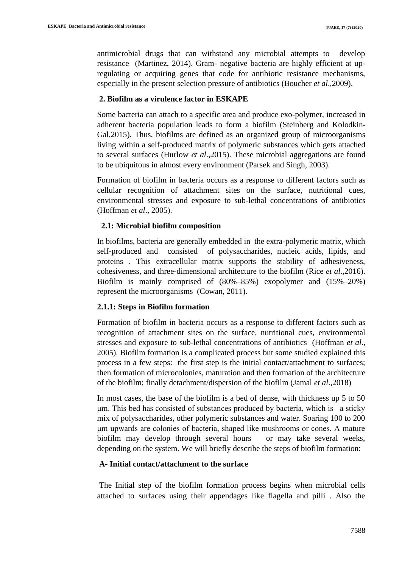antimicrobial drugs that can withstand any microbial attempts to develop resistance (Martinez, 2014). Gram- negative bacteria are highly efficient at upregulating or acquiring genes that code for antibiotic resistance mechanisms, especially in the present selection pressure of antibiotics (Boucher *et al*.,2009).

## **2. Biofilm as a virulence factor in ESKAPE**

Some bacteria can attach to a specific area and produce exo-polymer, increased in adherent bacteria population leads to form a biofilm (Steinberg and Kolodkin-Gal,2015). Thus, biofilms are defined as an organized group of microorganisms living within a self-produced matrix of polymeric substances which gets attached to several surfaces (Hurlow *et al*.,2015). These microbial aggregations are found to be ubiquitous in almost every environment (Parsek and Singh, 2003).

Formation of biofilm in bacteria occurs as a response to different factors such as cellular recognition of attachment sites on the surface, nutritional cues, environmental stresses and exposure to sub-lethal concentrations of antibiotics (Hoffman *et al*., 2005).

## **2.1: Microbial biofilm composition**

In biofilms, bacteria are generally embedded in the extra-polymeric matrix, which self-produced and consisted of polysaccharides, nucleic acids, lipids, and proteins . This extracellular matrix supports the stability of adhesiveness, cohesiveness, and three-dimensional architecture to the biofilm (Rice *et al*.,2016). Biofilm is mainly comprised of (80%–85%) exopolymer and (15%–20%) represent the microorganisms (Cowan, 2011).

## **2.1.1: Steps in Biofilm formation**

Formation of biofilm in bacteria occurs as a response to different factors such as recognition of attachment sites on the surface, nutritional cues, environmental stresses and exposure to sub-lethal concentrations of antibiotics (Hoffman *et al*., 2005). Biofilm formation is a complicated process but some studied explained this process in a few steps: the first step is the initial contact/attachment to surfaces; then formation of microcolonies, maturation and then formation of the architecture of the biofilm; finally detachment/dispersion of the biofilm (Jamal *et al*.,2018)

In most cases, the base of the biofilm is a bed of dense, with thickness up 5 to 50 μm. This bed has consisted of substances produced by bacteria, which is a sticky mix of polysaccharides, other polymeric substances and water. Soaring 100 to 200 μm upwards are colonies of bacteria, shaped like mushrooms or cones. A mature biofilm may develop through several hours or may take several weeks, depending on the system. We will briefly describe the steps of biofilm formation:

## **A- Initial contact/attachment to the surface**

The Initial step of the biofilm formation process begins when microbial cells attached to surfaces using their appendages like flagella and pilli . Also the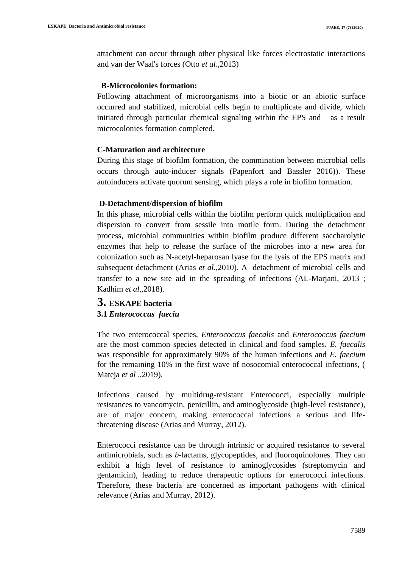attachment can occur through other physical like forces electrostatic interactions and van der Waal's forces (Otto *et al*.,2013)

## **B-Microcolonies formation:**

Following attachment of microorganisms into a biotic or an abiotic surface occurred and stabilized, microbial cells begin to multiplicate and divide, which initiated through particular chemical signaling within the EPS and as a result microcolonies formation completed.

## **C-Maturation and architecture**

During this stage of biofilm formation, the commination between microbial cells occurs through auto-inducer signals (Papenfort and Bassler 2016)). These autoinducers activate quorum sensing, which plays a role in biofilm formation.

#### **D-Detachment/dispersion of biofilm**

In this phase, microbial cells within the biofilm perform quick multiplication and dispersion to convert from sessile into motile form. During the detachment process, microbial communities within biofilm produce different saccharolytic enzymes that help to release the surface of the microbes into a new area for colonization such as N-acetyl-heparosan lyase for the lysis of the EPS matrix and subsequent detachment (Arias *et al*.,2010). A detachment of microbial cells and transfer to a new site aid in the spreading of infections (AL-Marjani, 2013 ; Kadhim *et al*.,2018).

# **3. ESKAPE bacteria 3.1** *Enterococcus faeciu*

The two enterococcal species, *Enterococcus faecalis* and *Enterococcus faecium* are the most common species detected in clinical and food samples. *E. faecalis* was responsible for approximately 90% of the human infections and *E. faecium* for the remaining 10% in the first wave of nosocomial enterococcal infections, ( Mateja *et al* .,2019).

Infections caused by multidrug-resistant Enterococci, especially multiple resistances to vancomycin, penicillin, and aminoglycoside (high-level resistance), are of major concern, making enterococcal infections a serious and lifethreatening disease (Arias and Murray, 2012).

Enterococci resistance can be through intrinsic or acquired resistance to several antimicrobials, such as *b*-lactams, glycopeptides, and fluoroquinolones. They can exhibit a high level of resistance to aminoglycosides (streptomycin and gentamicin), leading to reduce therapeutic options for enterococci infections. Therefore, these bacteria are concerned as important pathogens with clinical relevance (Arias and Murray, 2012).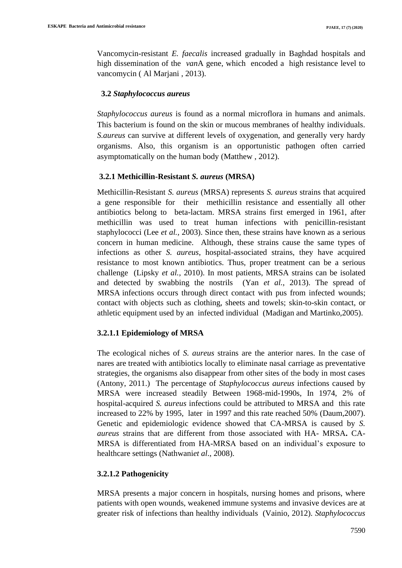Vancomycin-resistant *E. faecalis* increased gradually in Baghdad hospitals and high dissemination of the *van*A gene, which encoded a high resistance level to vancomycin ( Al Marjani , 2013).

#### **3.2** *Staphylococcus aureus*

*Staphylococcus aureus* is found as a normal microflora in humans and animals. This bacterium is found on the skin or mucous membranes of healthy individuals. *S.aureus* can survive at different levels of oxygenation, and generally very hardy organisms. Also, this organism is an opportunistic pathogen often carried asymptomatically on the human body (Matthew , 2012).

## **3.2.1 Methicillin-Resistant** *S. aureus* **(MRSA)**

Methicillin-Resistant *S. aureus* (MRSA) represents *S. aureus* strains that acquired a gene responsible for their methicillin resistance and essentially all other antibiotics belong to beta-lactam. MRSA strains first emerged in 1961, after methicillin was used to treat human infections with penicillin-resistant staphylococci (Lee *et al.,* 2003). Since then, these strains have known as a serious concern in human medicine. Although, these strains cause the same types of infections as other *S. aureus*, hospital-associated strains, they have acquired resistance to most known antibiotics. Thus, proper treatment can be a serious challenge (Lipsky *et al.,* 2010). In most patients, MRSA strains can be isolated and detected by swabbing the nostrils (Yan *et al.*, 2013). The spread of MRSA infections occurs through direct contact with pus from infected wounds; contact with objects such as clothing, sheets and towels; skin-to-skin contact, or athletic equipment used by an infected individual (Madigan and Martinko,2005).

## **3.2.1.1 [Epidemiology](http://cid.oxfordjournals.org/content/48/Supplement_4/S231.full#sec-1) of MRSA**

The ecological niches of *S. aureus* strains are the anterior nares. In the case of nares are treated with antibiotics locally to eliminate nasal carriage as preventative strategies, the organisms also disappear from other sites of the body in most cases (Antony, 2011.) The percentage of *Staphylococcus aureus* infections caused by MRSA were increased steadily Between 1968-mid-1990s, In 1974, 2% of hospital-acquired *S. aureus* infections could be attributed to MRSA and this rate increased to 22% by 1995, later in 1997 and this rate reached 50% (Daum,2007). Genetic and epidemiologic evidence showed that CA-MRSA is caused by *S. aureus* strains that are different from those associated with HA- MRSA**.** CA-MRSA is differentiated from HA-MRSA based on an individual's exposure to healthcare settings (Nathwani*et al*., 2008).

## **3.2.1.2 Pathogenicity**

MRSA presents a major concern in hospitals, nursing homes and prisons, where patients with open wounds, weakened [immune systems](http://en.wikipedia.org/wiki/Immune_system) and invasive devices are at greater risk of [infections](http://en.wikipedia.org/wiki/Nosocomial_infection) than healthy individuals (Vainio, 2012). *Staphylococcus*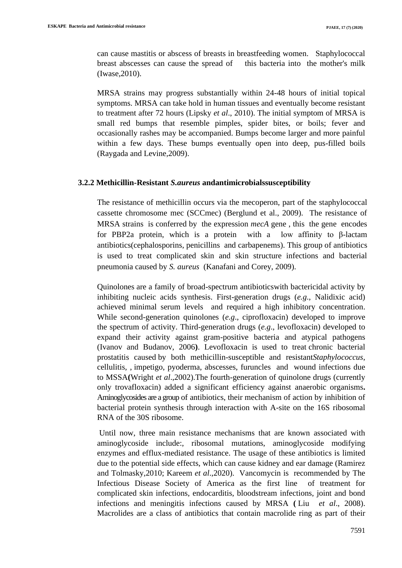can cause mastitis or abscess of breasts in breastfeeding women. Staphylococcal breast abscesses can cause the spread of this bacteria into the mother's milk (Iwase,2010).

MRSA strains may progress substantially within 24-48 hours of initial topical symptoms. MRSA can take hold in human tissues and eventually become resistant to treatment after 72 hours (Lipsky *et al*., 2010). The initial symptom of MRSA is small red bumps that resemble pimples, spider bites, or boils; fever and occasionally rashes may be accompanied. Bumps become larger and more painful within a few days. These bumps eventually open into deep, pus-filled boils (Raygada and Levine*,*2009).

#### **3.2.2 Methicillin-Resistant** *S.aureus* **andantimicrobialssusceptibility**

The resistance of methicillin occurs via the me[coperon,](http://en.wikipedia.org/wiki/Operon) part of the staphylococcal cassette chromosome mec (SCCmec) (Berglund et al., 2009). The resistance of MRSA strains is conferred by the expression *mecA* gene , this the gene encodes for PBP2a protein, which is a protein with a low affinity to β-lactam antibiotics[\(cephalosporins,](http://en.wikipedia.org/wiki/Cephalosporin) penicillins and [carbapenems\)](http://en.wikipedia.org/wiki/Carbapenem). This group of antibiotics is used to treat complicated skin and skin structure infections and bacterial pneumonia caused by *S. aureus* (Kanafani and Corey, 2009).

Quinolones are a family of broad-spectrum antibioticswith bactericidal activity by inhibiting nucleic acids synthesis. First-generation drugs (*e.g*., Nalidixic acid) achieved minimal serum levels and required a high inhibitory concentration. While second-generation quinolones (*e.g*., ciprofloxacin) developed to improve the spectrum of activity. Third-generation drugs (*e.g*., levofloxacin) developed to expand their activity against gram-positive bacteria and atypical pathogens (Ivanov and Budanov, 2006**)**. Levofloxacin is used to treat chronic [bacterial](http://www.rxlist.com/script/main/art.asp?articlekey=9858) [prostatitis](http://www.rxlist.com/script/main/art.asp?articlekey=9858) caused by both methicillin-susceptible and resistant*Staphylococcus*, [cellulitis,](http://www.rxlist.com/script/main/art.asp?articlekey=24261) , [impetigo,](http://www.rxlist.com/script/main/art.asp?articlekey=3948) pyoderma, abscesses, furuncles and wound infections due to MSSA**(**Wright *et al*.,2002).The fourth-generation of quinolone drugs (currently only trovafloxacin) added a significant efficiency against anaerobic organisms**.**  Aminoglycosides are a group of antibiotics, their mechanism of action by inhibition of bacterial protein synthesis through interaction with A-site on the 16S ribosomal RNA of the 30S ribosome.

Until now, three main resistance mechanisms that are known associated with aminoglycoside include:, ribosomal mutations, aminoglycoside modifying enzymes and efflux-mediated resistance. The usage of these antibiotics is limited due to the potential side effects, which can cause kidney and ear damage (Ramirez and Tolmasky*,*2010; Kareem *et al*.,2020). Vancomycin is recommended by The Infectious Disease Society of America as the first line of treatment for complicated skin infections, endocarditis, bloodstream infections, joint and bond infections and meningitis infections caused by [MRSA](http://en.wikipedia.org/wiki/Methicillin-resistant_Staphylococcus_aureus) **(** Liu *et al*., 2008). Macrolides are a class of antibiotics that contain macrolide ring as part of their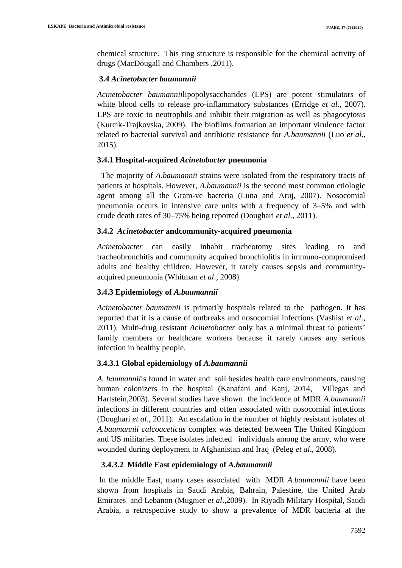chemical structure. This ring structure is responsible for the chemical activity of drugs (MacDougall and Chambers *,*2011).

#### **3.4** *Acinetobacter baumannii*

*Acinetobacter baumannii*lipopolysaccharides (LPS) are potent stimulators of white blood cells to release pro-inflammatory substances (Erridge *et al*., 2007). LPS are toxic to neutrophils and inhibit their migration as well as phagocytosis (Kurcik-Trajkovska, 2009). The biofilms formation an important virulence factor related to bacterial survival and antibiotic resistance for *A.baumannii* (Luo *et al*., 2015).

#### **3.4.1 Hospital-acquired** *Acinetobacter* **pneumonia**

 The majority of *A.baumannii* strains were isolated from the respiratory tracts of patients at hospitals. However, *A.baumannii* is the second most common etiologic agent among all the Gram-ve bacteria (Luna and Aruj, 2007). Nosocomial pneumonia occurs in intensive care units with a frequency of 3–5% and with crude death rates of 30–75% being reported (Doughari *et al*., 2011).

#### **3.4.2** *Acinetobacter* **andcommunity-acquired pneumonia**

*Acinetobacter* can easily inhabit tracheotomy sites leading to and tracheobronchitis and community acquired bronchiolitis in immuno-compromised adults and healthy children. However, it rarely causes sepsis and communityacquired pneumonia (Whitman *et al*., 2008).

## **3.4.3 Epidemiology of** *A.baumannii*

*Acinetobacter baumannii* is primarily hospitals related to the pathogen. It has reported that it is a cause of outbreaks and nosocomial infections (Vashist *et al*., 2011). Multi-drug resistant *Acinetobacter* only has a minimal threat to patients' family members or healthcare workers because it rarely causes any serious infection in healthy people.

#### **3.4.3.1 Global epidemiology of** *A.baumannii*

*A. baumannii*is found in water and soil besides health care environments, causing human colonizers in the hospital (Kanafani and Kanj, 2014, Villegas and Hartstein,2003). Several studies have shown the incidence of MDR *A.baumannii* infections in different countries and often associated with nosocomial infections (Doughari *et al*., 2011). An escalation in the number of highly resistant isolates of *A.baumannii calcoaceticus* complex was detected between The United Kingdom and US militaries. These isolates infected individuals among the army, who were wounded during deployment to Afghanistan and Iraq (Peleg *et al*., 2008).

## **3.4.3.2 Middle East epidemiology of** *A.baumannii*

In the middle East, many cases associated with MDR *A.baumannii* have been shown from hospitals in Saudi Arabia, Bahrain, Palestine, the United Arab Emirates and Lebanon (Mugnier *et al*.,2009). In Riyadh Military Hospital, Saudi Arabia, a retrospective study to show a prevalence of MDR bacteria at the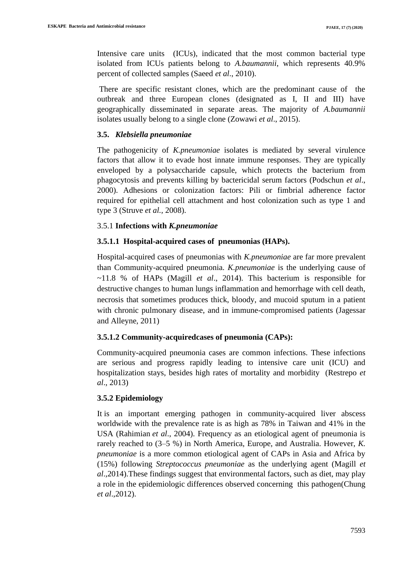Intensive care units (ICUs), indicated that the most common bacterial type isolated from ICUs patients belong to *A.baumannii*, which represents 40.9% percent of collected samples (Saeed *et al*., 2010).

There are specific resistant clones, which are the predominant cause of the outbreak and three European clones (designated as I, II and III) have geographically disseminated in separate areas. The majority of *A.baumannii* isolates usually belong to a single clone (Zowawi *et al*., 2015).

#### **3.5.** *Klebsiella pneumoniae*

The pathogenicity of *K.pneumoniae* isolates is mediated by several virulence factors that allow it to evade host innate immune responses. They are typically enveloped by a polysaccharide capsule, which protects the bacterium from phagocytosis and prevents killing by bactericidal serum factors (Podschun *et al*., 2000). Adhesions or colonization factors: Pili or fimbrial adherence factor required for epithelial cell attachment and host colonization such as type 1 and type 3 (Struve *et al.,* 2008).

## 3.5.1 **Infections with** *K.pneumoniae*

## **3.5.1.1 Hospital-acquired cases of pneumonias (HAPs).**

Hospital-acquired cases of pneumonias with *K.pneumoniae* are far more prevalent than Community-acquired pneumonia. *K.pneumoniae* is the underlying cause of ~11.8 % of HAPs (Magill *et al*., 2014). This bacterium is responsible for destructive changes to human lungs inflammation and hemorrhage with cell death, necrosis that sometimes produces thick, bloody, and mucoid sputum in a patient with chronic pulmonary disease, and in immune-compromised patients (Jagessar and Alleyne, 2011)

## **3.5.1.2 Community-acquiredcases of pneumonia (CAPs):**

Community-acquired pneumonia cases are common infections. These infections are serious and progress rapidly leading to intensive care unit (ICU) and hospitalization stays, besides high rates of mortality and morbidity (Restrepo *et al*., 2013)

## **3.5.2 Epidemiology**

It is an important emerging pathogen in community-acquired liver abscess worldwide with the prevalence rate is as high as 78% in Taiwan and 41% in the USA (Rahimian *et al*., 2004). Frequency as an etiological agent of pneumonia is rarely reached to (3–5 %) in North America, Europe, and Australia. However, *K. pneumoniae* is a more common etiological agent of CAPs in Asia and Africa by (15%) following *Streptococcus pneumoniae* as the underlying agent (Magill *et al*.,2014).These findings suggest that environmental factors, such as diet, may play a role in the epidemiologic differences observed concerning this pathogen(Chung *et al*.,2012).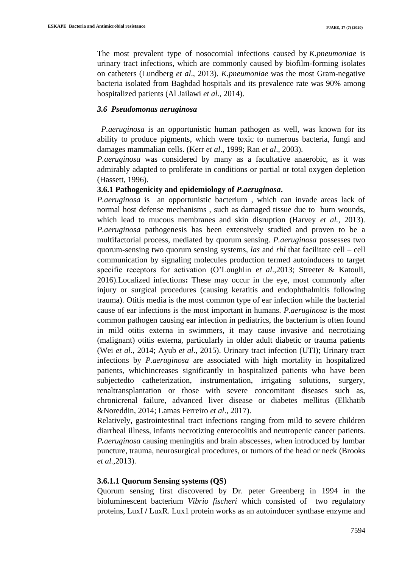The most prevalent type of nosocomial infections caused by *K.pneumoniae* is urinary tract infections, which are commonly caused by biofilm-forming isolates on catheters (Lundberg *et al*., 2013). *K.pneumoniae* was the most Gram-negative bacteria isolated from Baghdad hospitals and its prevalence rate was 90% among hospitalized patients (Al Jailawi *et al.*, 2014).

#### *3.6 Pseudomonas aeruginosa*

*P.aeruginosa* is an opportunistic human pathogen as well, was known for its ability to produce pigments, which were toxic to numerous bacteria, fungi and damages mammalian cells. (Kerr *et al*., 1999; Ran *et al*., 2003).

*P.aeruginosa* was considered by many as a facultative anaerobic, as it was admirably adapted to proliferate in conditions or partial or total oxygen depletion (Hassett, 1996).

#### **3.6.1 Pathogenicity and epidemiology of** *P.aeruginosa***.**

*P.aeruginosa* is an opportunistic bacterium , which can invade areas lack of normal host defense mechanisms , such as damaged tissue due to burn wounds, which lead to mucous membranes and skin disruption (Harvey *et al.*, 2013). *P.aeruginosa* pathogenesis has been extensively studied and proven to be a multifactorial process, mediated by quorum sensing. *P.aeruginosa* possesses two quorum-sensing two quorum sensing systems, *las* and *rhl* that facilitate cell – cell communication by signaling molecules production termed autoinducers to target specific receptors for activation (O'Loughlin *et al*.,2013; Streeter & Katouli, 2016).Localized infections**:** These may occur in the eye, most commonly after injury or surgical procedures (causing keratitis and endophthalmitis following trauma). Otitis media is the most common type of ear infection while the bacterial cause of ear infections is the most important in humans. *P.aeruginosa* is the most common pathogen causing ear infection in pediatrics, the bacterium is often found in mild otitis externa in swimmers, it may cause invasive and necrotizing (malignant) otitis externa, particularly in older adult diabetic or trauma patients (Wei *et al*., 2014; Ayub *et al*., 2015). Urinary tract infection (UTI); Urinary tract infections by *P.aeruginosa* are associated with high mortality in hospitalized patients, whichincreases significantly in hospitalized patients who have been subjectedto catheterization, instrumentation, irrigating solutions, surgery, renaltransplantation or those with severe concomitant diseases such as, chronicrenal failure, advanced liver disease or diabetes mellitus (Elkhatib &Noreddin, 2014; Lamas Ferreiro *et al*., 2017).

Relatively, gastrointestinal tract infections ranging from mild to severe children diarrheal illness, infants necrotizing enterocolitis and neutropenic cancer patients. *P.aeruginosa* causing meningitis and brain abscesses, when introduced by lumbar puncture, trauma, neurosurgical procedures, or tumors of the head or neck (Brooks *et al.*,2013).

#### **3.6.1.1 Quorum Sensing systems (QS)**

Quorum sensing first discovered by Dr. peter Greenberg in 1994 in the bioluminescent bacterium *Vibrio fischeri* which consisted of two regulatory proteins, LuxI **/** LuxR. Lux1 protein works as an autoinducer synthase enzyme and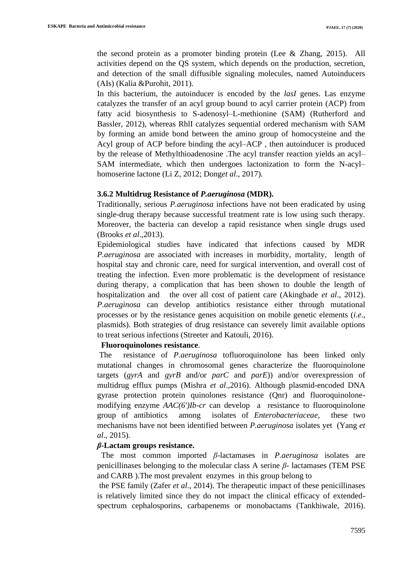the second protein as a promoter binding protein (Lee & Zhang, 2015). All activities depend on the QS system, which depends on the production, secretion, and detection of the small diffusible signaling molecules, named Autoinducers (AIs) (Kalia &Purohit, 2011).

In this bacterium, the autoinducer is encoded by the *lasI* genes. Las enzyme catalyzes the transfer of an acyl group bound to acyl carrier protein (ACP) from fatty acid biosynthesis to S-adenosyl–L-methionine (SAM) (Rutherford and Bassler, 2012), whereas RhlI catalyzes sequential ordered mechanism with SAM by forming an amide bond between the amino group of homocysteine and the Acyl group of ACP before binding the acyl–ACP , then autoinducer is produced by the release of Methylthioadenosine .The acyl transfer reaction yields an acyl– SAM intermediate, which then undergoes lactonization to form the N-acyl– homoserine lactone (Li Z, 2012; Dong*et al*., 2017).

#### **3.6.2 Multidrug Resistance of** *P.aeruginosa* **(MDR).**

Traditionally, serious *P.aeruginosa* infections have not been eradicated by using single-drug therapy because successful treatment rate is low using such therapy. Moreover, the bacteria can develop a rapid resistance when single drugs used (Brooks *et al*.,2013).

Epidemiological studies have indicated that infections caused by MDR *P.aeruginosa* are associated with increases in morbidity, mortality, length of hospital stay and chronic care, need for surgical intervention, and overall cost of treating the infection. Even more problematic is the development of resistance during therapy, a complication that has been shown to double the length of hospitalization and the over all cost of patient care (Akingbade *et al*., 2012). *P.aeruginosa* can develop antibiotics resistance either through mutational processes or by the resistance genes acquisition on mobile genetic elements (*i.e*., plasmids). Both strategies of drug resistance can severely limit available options to treat serious infections (Streeter and Katouli, 2016).

#### **Fluoroquinolones resistance**.

The resistance of *P.aeruginosa* tofluoroquinolone has been linked only mutational changes in chromosomal genes characterize the fluoroquinolone targets (*gyrA* and *gyrB* and/or *parC* and *parE*)) and/or overexpression of multidrug efflux pumps (Mishra *et al*.,2016). Although plasmid-encoded DNA gyrase protection protein quinolones resistance (Qnr) and fluoroquinolonemodifying enzyme *AAC(6')Ib-cr* can develop a resistance to fluoroquinolone group of antibiotics among isolates of *Enterobacteriaceae*, these two mechanisms have not been identified between *P.aeruginosa* isolates yet (Yang *et al*., 2015).

#### *β***-Lactam groups resistance.**

 The most common imported *β*-lactamases in *P.aeruginosa* isolates are penicillinases belonging to the molecular class A serine *β*- lactamases (TEM PSE and CARB ).The most prevalent enzymes in this group belong to

the PSE family (Zafer *et al*., 2014). The therapeutic impact of these penicillinases is relatively limited since they do not impact the clinical efficacy of extendedspectrum cephalosporins, carbapenems or monobactams (Tankhiwale, 2016).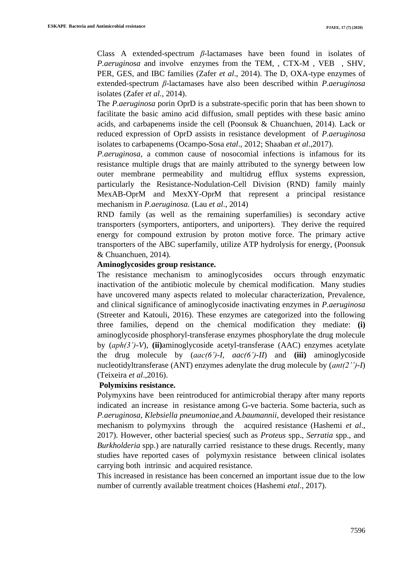Class A extended-spectrum *β*-lactamases have been found in isolates of *P.aeruginosa* and involve enzymes from the TEM, , CTX-M , VEB , SHV, PER, GES, and IBC families (Zafer *et al*., 2014). The D, OXA-type enzymes of extended-spectrum *β*-lactamases have also been described within *P.aeruginosa*  isolates (Zafer *et al*., 2014).

The *P.aeruginosa* porin OprD is a substrate-specific porin that has been shown to facilitate the basic amino acid diffusion, small peptides with these basic amino acids, and carbapenems inside the cell (Poonsuk & Chuanchuen, 2014). Lack or reduced expression of OprD assists in resistance development of *P.aeruginosa*  isolates to carbapenems (Ocampo-Sosa *etal*., 2012; Shaaban *et al*.,2017).

*P.aeruginosa*, a common cause of nosocomial infections is infamous for its resistance multiple drugs that are mainly attributed to the synergy between low outer membrane permeability and multidrug efflux systems expression, particularly the Resistance-Nodulation-Cell Division (RND) family mainly MexAB-OprM and MexXY-OprM that represent a principal resistance mechanism in *P.aeruginosa.* (Lau *et al*., 2014)

RND family (as well as the remaining superfamilies) is secondary active transporters (symporters, antiporters, and uniporters). They derive the required energy for compound extrusion by proton motive force. The primary active transporters of the ABC superfamily, utilize ATP hydrolysis for energy, (Poonsuk & Chuanchuen, 2014).

#### **Aminoglycosides group resistance.**

The resistance mechanism to aminoglycosides occurs through enzymatic inactivation of the antibiotic molecule by chemical modification. Many studies have uncovered many aspects related to molecular characterization, Prevalence, and clinical significance of aminoglycoside inactivating enzymes in *P.aeruginosa*  (Streeter and Katouli, 2016). These enzymes are categorized into the following three families, depend on the chemical modification they mediate: **(i)**  aminoglycoside phosphoryl-transferase enzymes phosphorylate the drug molecule by (*aph(3')-V*), **(ii)**aminoglycoside acetyl-transferase (AAC) enzymes acetylate the drug molecule by (*aac(6')-I, aac(6')-II*) and **(iii)** aminoglycoside nucleotidyltransferase (ANT) enzymes adenylate the drug molecule by (*ant(2'')-I*) (Teixeira *et al*.,2016).

## **Polymixins resistance.**

Polymyxins have been reintroduced for antimicrobial therapy after many reports indicated an increase in resistance among G-ve bacteria. Some bacteria, such as *P.aeruginosa*, *Klebsiella pneumoniae*,and *A.baumannii*, developed their resistance mechanism to polymyxins through the acquired resistance (Hashemi *et al*., 2017). However, other bacterial species( such as *Proteus* spp., *Serratia* spp., and *Burkholderia* spp.) are naturally carried resistance to these drugs. Recently, many studies have reported cases of polymyxin resistance between clinical isolates carrying both intrinsic and acquired resistance.

This increased in resistance has been concerned an important issue due to the low number of currently available treatment choices (Hashemi *etal*., 2017).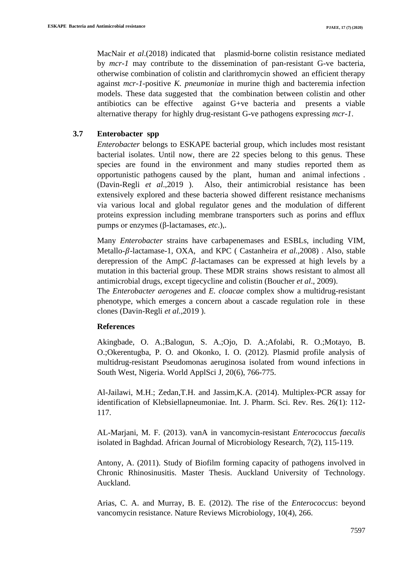MacNair *et al.*(2018) indicated that plasmid-borne colistin resistance mediated by *mcr-1* may contribute to the dissemination of pan-resistant G-ve bacteria, otherwise combination of colistin and clarithromycin showed an efficient therapy against *mcr-1*-positive *K. pneumoniae* in murine thigh and bacteremia infection models. These data suggested that the combination between colistin and other antibiotics can be effective against G+ve bacteria and presents a viable alternative therapy for highly drug-resistant G-ve pathogens expressing *mcr-1*.

## **3.7 Enterobacter spp**

*Enterobacter* belongs to ESKAPE bacterial group, which includes most resistant bacterial isolates. Until now, there are 22 species belong to this genus. These species are found in the environment and many studies reported them as opportunistic pathogens caused by the plant, human and animal infections . (Davin-Regli *et al*.,2019 ). Also, their antimicrobial resistance has been extensively explored and these bacteria showed different resistance mechanisms via various local and global regulator genes and the modulation of different proteins expression including membrane transporters such as porins and efflux pumps or enzymes (β-lactamases, *etc*.),.

Many *Enterobacter* strains have carbapenemases and ESBLs, including VIM, Metallo-β-lactamase-1, OXA, and KPC (Castanheira *et al.*, 2008). Also, stable derepression of the AmpC  $\beta$ -lactamases can be expressed at high levels by a mutation in this bacterial group. These MDR strains shows resistant to almost all antimicrobial drugs, except tigecycline and colistin (Boucher *et al*., 2009).

The *Enterobacter aerogenes* and *E. cloacae* complex show a multidrug-resistant phenotype, which emerges a concern about a cascade regulation role in these clones (Davin-Regli *et al.,*2019 ).

#### **References**

Akingbade, O. A.;Balogun, S. A.;Ojo, D. A.;Afolabi, R. O.;Motayo, B. O.;Okerentugba, P. O. and Okonko, I. O. (2012). Plasmid profile analysis of multidrug-resistant Pseudomonas aeruginosa isolated from wound infections in South West, Nigeria. World ApplSci J, 20(6), 766-775.

Al-Jailawi, M.H.; Zedan,T.H. and Jassim,K.A. (2014). Multiplex-PCR assay for identification of Klebsiellapneumoniae. Int. J. Pharm. Sci. Rev. Res. 26(1): 112- 117.

AL-Marjani, M. F. (2013). vanA in vancomycin-resistant *Enterococcus faecalis* isolated in Baghdad. African Journal of Microbiology Research, 7(2), 115-119.

Antony, A. (2011). Study of Biofilm forming capacity of pathogens involved in Chronic Rhinosinusitis. Master Thesis. Auckland University of Technology. Auckland.

Arias, C. A. and Murray, B. E. (2012). The rise of the *Enterococcus*: beyond vancomycin resistance. Nature Reviews Microbiology, 10(4), 266.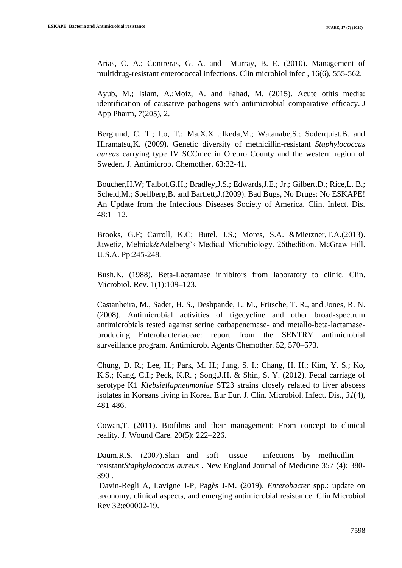Arias, C. A.; Contreras, G. A. and Murray, B. E. (2010). Management of multidrug-resistant enterococcal infections. Clin microbiol infec , 16(6), 555-562.

Ayub, M.; Islam, A.;Moiz, A. and Fahad, M. (2015). Acute otitis media: identification of causative pathogens with antimicrobial comparative efficacy. J App Pharm, *7*(205), 2.

Berglund, C. T.; Ito, T.; Ma,X.X .;Ikeda,M.; Watanabe,S.; Soderquist,B. and Hiramatsu,K. (2009). Genetic diversity of methicillin-resistant *Staphylococcus aureus* carrying type IV SCCmec in Orebro County and the western region of Sweden. J. Antimicrob. Chemother. 63:32-41.

Boucher,H.W; Talbot,G.H.; Bradley,J.S.; Edwards,J.E.; Jr.; Gilbert,D.; Rice,L. B.; Scheld,M.; Spellberg,B. and Bartlett,J.(2009). Bad Bugs, No Drugs: No ESKAPE! An Update from the Infectious Diseases Society of America. Clin. Infect. Dis.  $48:1 - 12$ .

Brooks, G.F; Carroll, K.C; Butel, J.S.; Mores, S.A. &Mietzner,T.A.(2013). Jawetiz, Melnick&Adelberg's Medical Microbiology. 26thedition. McGraw-Hill. U.S.A. Pp:245-248.

Bush,K. (1988). Beta-Lactamase inhibitors from laboratory to clinic. Clin. Microbiol. Rev. 1(1):109–123.

Castanheira, M., Sader, H. S., Deshpande, L. M., Fritsche, T. R., and Jones, R. N. (2008). Antimicrobial activities of tigecycline and other broad-spectrum antimicrobials tested against serine carbapenemase- and metallo-beta-lactamaseproducing Enterobacteriaceae: report from the SENTRY antimicrobial surveillance program. Antimicrob. Agents Chemother. 52, 570–573.

Chung, D. R.; Lee, H.; Park, M. H.; Jung, S. I.; Chang, H. H.; Kim, Y. S.; Ko, K.S.; Kang, C.I.; Peck, K.R. ; Song,J.H. & Shin, S. Y. (2012). Fecal carriage of serotype K1 *Klebsiellapneumoniae* ST23 strains closely related to liver abscess isolates in Koreans living in Korea. Eur Eur. J. Clin. Microbiol. Infect. Dis., *31*(4), 481-486.

Cowan,T. (2011). Biofilms and their management: From concept to clinical reality. J. Wound Care. 20(5): 222–226.

Daum,R.S. (2007).Skin and soft -tissue infections by methicillin – resistant*Staphylococcus aureus* . New England Journal of Medicine 357 (4): 380- 390 .

 Davin-Regli A, Lavigne J-P, Pagès J-M. (2019). *Enterobacter* spp.: update on taxonomy, clinical aspects, and emerging antimicrobial resistance. Clin Microbiol Rev 32:e00002-19.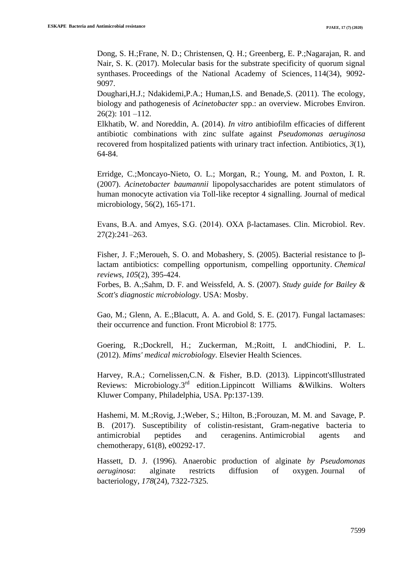Dong, S. H.;Frane, N. D.; Christensen, Q. H.; Greenberg, E. P.;Nagarajan, R. and Nair, S. K. (2017). Molecular basis for the substrate specificity of quorum signal synthases. Proceedings of the National Academy of Sciences, 114(34), 9092-9097.

Doughari,H.J.; Ndakidemi,P.A.; Human,I.S. and Benade,S. (2011). The ecology, biology and pathogenesis of *Acinetobacter* spp.: an overview. Microbes Environ. 26(2): 101 –112.

Elkhatib, W. and Noreddin, A. (2014). *In vitro* antibiofilm efficacies of different antibiotic combinations with zinc sulfate against *Pseudomonas aeruginosa* recovered from hospitalized patients with urinary tract infection. Antibiotics, *3*(1), 64-84.

Erridge, C.;Moncayo-Nieto, O. L.; Morgan, R.; Young, M. and Poxton, I. R. (2007). *Acinetobacter baumannii* lipopolysaccharides are potent stimulators of human monocyte activation via Toll-like receptor 4 signalling. Journal of medical microbiology, 56(2), 165-171.

Evans, B.A. and Amyes, S.G. (2014). OXA β-lactamases. Clin. Microbiol. Rev. 27(2):241–263.

Fisher, J. F.;Meroueh, S. O. and Mobashery, S. (2005). Bacterial resistance to βlactam antibiotics: compelling opportunism, compelling opportunity. *Chemical reviews*, *105*(2), 395-424.

Forbes, B. A.;Sahm, D. F. and Weissfeld, A. S. (2007). *Study guide for Bailey & Scott's diagnostic microbiology*. USA: Mosby.

Gao, M.; Glenn, A. E.;Blacutt, A. A. and Gold, S. E. (2017). Fungal lactamases: their occurrence and function. Front Microbiol 8: 1775.

Goering, R.;Dockrell, H.; Zuckerman, M.;Roitt, I. andChiodini, P. L. (2012). *Mims' medical microbiology*. Elsevier Health Sciences.

Harvey, R.A.; Cornelissen,C.N. & Fisher, B.D. (2013). Lippincott'sIllustrated Reviews: Microbiology.3rd edition.Lippincott Williams &Wilkins. Wolters Kluwer Company, Philadelphia, USA. Pp:137-139.

Hashemi, M. M.;Rovig, J.;Weber, S.; Hilton, B.;Forouzan, M. M. and Savage, P. B. (2017). Susceptibility of colistin-resistant, Gram-negative bacteria to antimicrobial peptides and ceragenins. Antimicrobial agents and chemotherapy, 61(8), e00292-17.

Hassett, D. J. (1996). Anaerobic production of alginate *by Pseudomonas aeruginosa*: alginate restricts diffusion of oxygen. Journal of bacteriology, *178*(24), 7322-7325.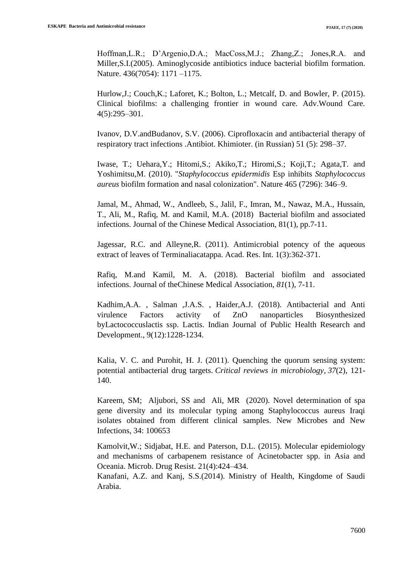Hoffman,L.R.; D'Argenio,D.A.; MacCoss,M.J.; Zhang,Z.; Jones,R.A. and Miller,S.I.(2005). Aminoglycoside antibiotics induce bacterial biofilm formation. Nature. 436(7054): 1171 –1175.

Hurlow,J.; Couch,K.; Laforet, K.; Bolton, L.; Metcalf, D. and Bowler, P. (2015). Clinical biofilms: a challenging frontier in wound care. Adv.Wound Care. 4(5):295–301.

Ivanov, D.V.andBudanov, S.V. (2006). Ciprofloxacin and antibacterial therapy of respiratory tract infections .Antibiot. Khimioter. (in Russian) 51 (5): 298–37.

Iwase, T.; Uehara,Y.; Hitomi,S.; Akiko,T.; Hiromi,S.; Koji,T.; Agata,T. and Yoshimitsu,M. (2010). "*Staphylococcus epidermidis* Esp inhibits *Staphylococcus aureus* biofilm formation and nasal colonization". Nature 465 (7296): 346–9.

Jamal, M., Ahmad, W., Andleeb, S., Jalil, F., Imran, M., Nawaz, M.A., Hussain, T., Ali, M., Rafiq, M. and Kamil, M.A. (2018) Bacterial biofilm and associated infections. Journal of the Chinese Medical Association, 81(1), pp.7-11.

Jagessar, R.C. and Alleyne,R. (2011). Antimicrobial potency of the aqueous extract of leaves of Terminaliacatappa. Acad. Res. Int. 1(3):362-371.

Rafiq, M.and Kamil, M. A. (2018). Bacterial biofilm and associated infections. Journal of theChinese Medical Association, *81*(1), 7-11.

Kadhim,A.A. , Salman ,J.A.S. , Haider,A.J. (2018). Antibacterial and Anti virulence Factors activity of ZnO nanoparticles Biosynthesized byLactococcuslactis ssp. Lactis. Indian Journal of Public Health Research and Development., 9(12):1228-1234.

Kalia, V. C. and Purohit, H. J. (2011). Quenching the quorum sensing system: potential antibacterial drug targets. *Critical reviews in microbiology*, *37*(2), 121- 140.

Kareem, SM; Aljubori, SS and Ali, MR (2020). [Novel determination of spa](https://www.sciencedirect.com/science/article/pii/S2052297520300056)  [gene diversity and its molecular typing among Staphylococcus aureus Iraqi](https://www.sciencedirect.com/science/article/pii/S2052297520300056)  [isolates obtained from different clinical samples.](https://www.sciencedirect.com/science/article/pii/S2052297520300056) New Microbes and New Infections, 34: 100653

Kamolvit,W.; Sidjabat, H.E. and Paterson, D.L. (2015). Molecular epidemiology and mechanisms of carbapenem resistance of Acinetobacter spp. in Asia and Oceania. Microb. Drug Resist. 21(4):424–434.

Kanafani, A.Z. and Kanj, S.S.(2014). Ministry of Health, Kingdome of Saudi Arabia.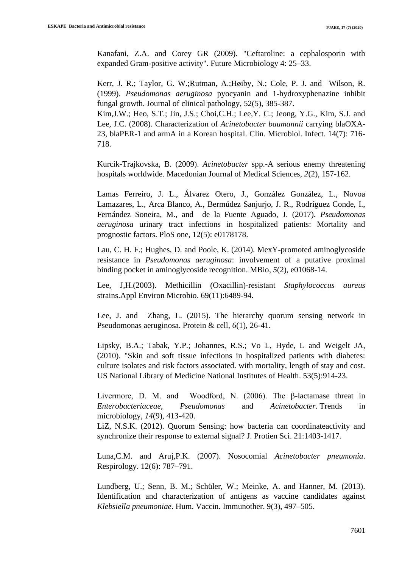Kanafani, Z.A. and Corey GR (2009). "Ceftaroline: a cephalosporin with expanded Gram-positive activity". Future Microbiology 4: 25–33.

Kerr, J. R.; Taylor, G. W.;Rutman, A.;Høiby, N.; Cole, P. J. and Wilson, R. (1999). *Pseudomonas aeruginosa* pyocyanin and 1-hydroxyphenazine inhibit fungal growth. Journal of clinical pathology, 52(5), 385-387.

Kim,J.W.; Heo, S.T.; Jin, J.S.; Choi,C.H.; Lee,Y. C.; Jeong, Y.G., Kim, S.J. and Lee, J.C. (2008). Characterization of *Acinetobacter baumannii* carrying blaOXA-23, blaPER-1 and armA in a Korean hospital. Clin. Microbiol. Infect. 14(7): 716- 718.

Kurcik-Trajkovska, B. (2009). *Acinetobacter* spp.-A serious enemy threatening hospitals worldwide. Macedonian Journal of Medical Sciences, *2*(2), 157-162.

Lamas Ferreiro, J. L., Álvarez Otero, J., González González, L., Novoa Lamazares, L., Arca Blanco, A., Bermúdez Sanjurjo, J. R., Rodríguez Conde, I., Fernández Soneira, M., and de la Fuente Aguado, J. (2017). *Pseudomonas aeruginosa* urinary tract infections in hospitalized patients: Mortality and prognostic factors. PloS one, 12(5): e0178178.

Lau, C. H. F.; Hughes, D. and Poole, K. (2014). MexY-promoted aminoglycoside resistance in *Pseudomonas aeruginosa*: involvement of a putative proximal binding pocket in aminoglycoside recognition. MBio, *5*(2), e01068-14.

Lee, J,H.(2003). Methicillin (Oxacillin)-resistant *Staphylococcus aureus* strains.Appl Environ Microbio. 69(11):6489-94.

Lee, J. and Zhang, L. (2015). The hierarchy quorum sensing network in Pseudomonas aeruginosa. Protein & cell, *6*(1), 26-41.

Lipsky, B.A.; Tabak, Y.P.; Johannes, R.S.; Vo L, Hyde, L and Weigelt JA, (2010). "Skin and soft tissue infections in hospitalized patients with diabetes: culture isolates and risk factors associated. with mortality, length of stay and cost. US National Library of Medicine National Institutes of Health. 53(5):914-23.

Livermore, D. M. and Woodford, N. (2006). The β-lactamase threat in *Enterobacteriaceae*, *Pseudomonas* and *Acinetobacter*. Trends in microbiology, *14*(9), 413-420.

LiZ, N.S.K. (2012). Quorum Sensing: how bacteria can coordinateactivity and synchronize their response to external signal? J. Protien Sci. 21:1403-1417.

Luna,C.M. and Aruj,P.K. (2007). Nosocomial *Acinetobacter pneumonia*. Respirology. 12(6): 787–791.

Lundberg, U.; Senn, B. M.; Schüler, W.; Meinke, A. and Hanner, M. (2013). Identification and characterization of antigens as vaccine candidates against *Klebsiella pneumoniae*. Hum. Vaccin. Immunother. 9(3), 497–505.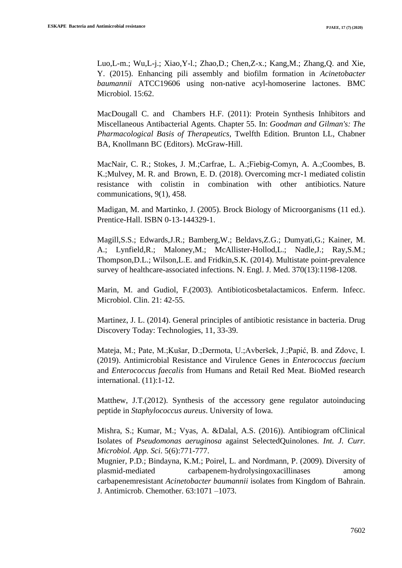Luo,L-m.; Wu,L-j.; Xiao,Y-l.; Zhao,D.; Chen,Z-x.; Kang,M.; Zhang,Q. and Xie, Y. (2015). Enhancing pili assembly and biofilm formation in *Acinetobacter baumannii* ATCC19606 using non-native acyl-homoserine lactones. BMC Microbiol. 15:62.

MacDougall C. and Chambers H.F. (2011): Protein Synthesis Inhibitors and Miscellaneous Antibacterial Agents. Chapter 55. In: *Goodman and Gilman's: The Pharmacological Basis of Therapeutics*, Twelfth Edition. Brunton LL, Chabner BA, Knollmann BC (Editors). McGraw-Hill.

MacNair, C. R.; Stokes, J. M.;Carfrae, L. A.;Fiebig-Comyn, A. A.;Coombes, B. K.;Mulvey, M. R. and Brown, E. D. (2018). Overcoming mcr-1 mediated colistin resistance with colistin in combination with other antibiotics. Nature communications, 9(1), 458.

Madigan, M. and Martinko, J. (2005). Brock Biology of Microorganisms (11 ed.). Prentice-Hall. ISBN 0-13-144329-1.

Magill,S.S.; Edwards,J.R.; Bamberg,W.; Beldavs,Z.G.; Dumyati,G.; Kainer, M. A.; Lynfield,R.; Maloney,M.; McAllister-Hollod,L.; Nadle,J.; Ray,S.M.; Thompson,D.L.; Wilson,L.E. and Fridkin,S.K. (2014). Multistate point-prevalence survey of healthcare-associated infections. N. Engl. J. Med. 370(13):1198-1208.

Marin, M. and Gudiol, F.(2003). Antibioticosbetalactamicos. Enferm. Infecc. Microbiol. Clin. 21: 42-55.

Martinez, J. L. (2014). General principles of antibiotic resistance in bacteria. Drug Discovery Today: Technologies, 11, 33-39.

Mateja, M.; Pate, M.;Kušar, D.;Dermota, U.;Avberšek, J.;Papić, B. and Zdovc, I. (2019). Antimicrobial Resistance and Virulence Genes in *Enterococcus faecium* and *Enterococcus faecalis* from Humans and Retail Red Meat. BioMed research international. (11):1-12.

Matthew, J.T.(2012). Synthesis of the accessory gene regulator autoinducing peptide in *Staphylococcus aureus*. University of Iowa.

Mishra, S.; Kumar, M.; Vyas, A. &Dalal, A.S. (2016)). Antibiogram ofClinical Isolates of *Pseudomonas aeruginosa* against SelectedQuinolones*. Int. J. Curr. Microbiol. App. Sci*. 5(6):771-777.

Mugnier, P.D.; Bindayna, K.M.; Poirel, L. and Nordmann, P. (2009). Diversity of plasmid-mediated carbapenem-hydrolysingoxacillinases among carbapenemresistant *Acinetobacter baumannii* isolates from Kingdom of Bahrain. J. Antimicrob. Chemother. 63:1071 –1073.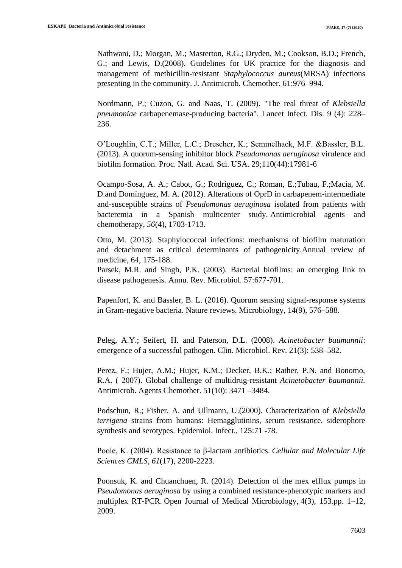Nathwani, D.; Morgan, M.; Masterton, R.G.; Dryden, M.; Cookson, B.D.; French, G.; and Lewis, D.(2008). Guidelines for UK practice for the diagnosis and management of methicillin-resistant *Staphylococcus aureus*(MRSA) infections presenting in the community. J. Antimicrob. Chemother. 61:976–994.

Nordmann, P.; Cuzon, G. and Naas, T. (2009). "The real threat of *Klebsiella pneumoniae* carbapenemase-producing bacteria". Lancet Infect. Dis. 9 (4): 228– 236.

O'Loughlin, C.T.; Miller, L.C.; Drescher, K.; Semmelhack, M.F. &Bassler, B.L. (2013). A quorum-sensing inhibitor block *Pseudomonas aeruginosa* virulence and biofilm formation. Proc. Natl. Acad. Sci. USA. 29;110(44):17981-6

Ocampo-Sosa, A. A.; Cabot, G.; Rodríguez, C.; Roman, E.;Tubau, F.;Macia, M. D.and Domínguez, M. A. (2012). Alterations of OprD in carbapenem-intermediate and-susceptible strains of *Pseudomonas aeruginosa* isolated from patients with bacteremia in a Spanish multicenter study. Antimicrobial agents and chemotherapy, *56*(4), 1703-1713.

Otto, M. (2013). Staphylococcal infections: mechanisms of biofilm maturation and detachment as critical determinants of pathogenicity.Annual review of medicine, 64, 175-188.

Parsek, M.R. and Singh, P.K. (2003). Bacterial biofilms: an emerging link to disease pathogenesis. Annu. Rev. Microbiol. 57:677-701.

Papenfort, K. and Bassler, B. L. (2016). Quorum sensing signal-response systems in Gram-negative bacteria. Nature reviews. Microbiology, 14(9), 576–588.

Peleg, A.Y.; Seifert, H. and Paterson, D.L. (2008). *Acinetobacter baumannii*: emergence of a successful pathogen. Clin. Microbiol. Rev. 21(3): 538–582.

Perez, F.; Hujer, A.M.; Hujer, K.M.; Decker, B.K.; Rather, P.N. and Bonomo, R.A. ( 2007). Global challenge of multidrug-resistant *Acinetobacter baumannii.* Antimicrob. Agents Chemother. 51(10): 3471 –3484.

Podschun, R.; Fisher, A. and Ullmann, U.(2000). Characterization of *Klebsiella terrigena* strains from humans: Hemagglutinins, serum resistance, siderophore synthesis and serotypes. Epidemiol. Infect., 125:71 -78.

Poole, K. (2004). Resistance to β-lactam antibiotics. *Cellular and Molecular Life Sciences CMLS*, *61*(17), 2200-2223.

Poonsuk, K. and Chuanchuen, R. (2014). Detection of the mex efflux pumps in *Pseudomonas aeruginosa* by using a combined resistance-phenotypic markers and multiplex RT-PCR. Open Journal of Medical Microbiology, 4(3), 153.pp. 1–12, 2009.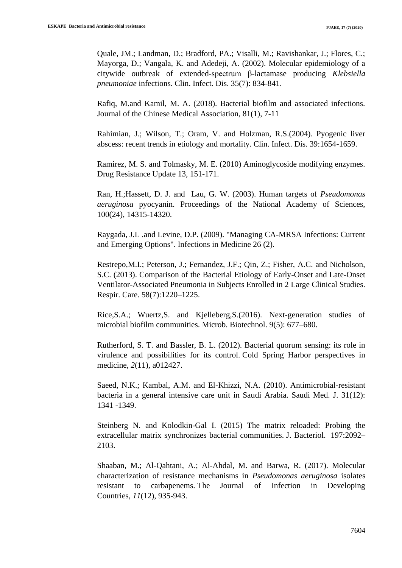Quale, JM.; Landman, D.; Bradford, PA.; Visalli, M.; Ravishankar, J.; Flores, C.; Mayorga, D.; Vangala, K. and Adedeji, A. (2002). Molecular epidemiology of a citywide outbreak of extended-spectrum β-lactamase producing *Klebsiella pneumoniae* infections. Clin. Infect. Dis. 35(7): 834-841.

Rafiq, M.and Kamil, M. A. (2018). Bacterial biofilm and associated infections. Journal of the Chinese Medical Association, 81(1), 7-11

Rahimian, J.; Wilson, T.; Oram, V. and Holzman, R.S.(2004). Pyogenic liver abscess: recent trends in etiology and mortality. Clin. Infect. Dis. 39:1654-1659.

Ramirez, M. S. and Tolmasky, M. E. (2010) Aminoglycoside modifying enzymes. Drug Resistance Update 13, 151-171.

Ran, H.;Hassett, D. J. and Lau, G. W. (2003). Human targets of *Pseudomonas aeruginosa* pyocyanin. Proceedings of the National Academy of Sciences, 100(24), 14315-14320.

Raygada, J.L .and Levine, D.P. (2009). "Managing CA-MRSA Infections: Current and Emerging Options". Infections in Medicine 26 (2).

Restrepo,M.I.; Peterson, J.; Fernandez, J.F.; Qin, Z.; Fisher, A.C. and Nicholson, S.C. (2013). Comparison of the Bacterial Etiology of Early-Onset and Late-Onset Ventilator-Associated Pneumonia in Subjects Enrolled in 2 Large Clinical Studies. Respir. Care. 58(7):1220–1225.

Rice,S.A.; Wuertz,S. and Kjelleberg,S.(2016). Next-generation studies of microbial biofilm communities. Microb. Biotechnol. 9(5): 677–680.

Rutherford, S. T. and Bassler, B. L. (2012). Bacterial quorum sensing: its role in virulence and possibilities for its control. Cold Spring Harbor perspectives in medicine, *2*(11), a012427.

Saeed, N.K.; Kambal, A.M. and El-Khizzi, N.A. (2010). Antimicrobial-resistant bacteria in a general intensive care unit in Saudi Arabia. Saudi Med. J. 31(12): 1341 -1349.

Steinberg N. and Kolodkin-Gal I. (2015) The matrix reloaded: Probing the extracellular matrix synchronizes bacterial communities. J. Bacteriol. 197:2092– 2103.

Shaaban, M.; Al-Qahtani, A.; Al-Ahdal, M. and Barwa, R. (2017). Molecular characterization of resistance mechanisms in *Pseudomonas aeruginosa* isolates resistant to carbapenems. The Journal of Infection in Developing Countries, *11*(12), 935-943.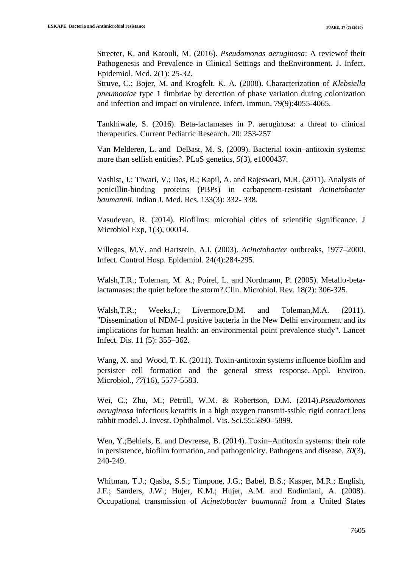Streeter, K. and Katouli, M. (2016). *Pseudomonas aeruginosa*: A reviewof their Pathogenesis and Prevalence in Clinical Settings and theEnvironment. J. Infect. Epidemiol. Med*.* 2(1): 25-32.

Struve, C.; Bojer, M. and Krogfelt, K. A. (2008). Characterization of *Klebsiella pneumoniae* type 1 fimbriae by detection of phase variation during colonization and infection and impact on virulence. Infect. Immun. 79(9):4055-4065.

Tankhiwale, S. (2016). Beta-lactamases in P. aeruginosa: a threat to clinical therapeutics. Current Pediatric Research. 20: 253-257

Van Melderen, L. and DeBast, M. S. (2009). Bacterial toxin–antitoxin systems: more than selfish entities?. PLoS genetics, *5*(3), e1000437.

Vashist, J.; Tiwari, V.; Das, R.; Kapil, A. and Rajeswari, M.R. (2011). Analysis of penicillin-binding proteins (PBPs) in carbapenem-resistant *Acinetobacter baumannii*. Indian J. Med. Res. 133(3): 332- 338.

Vasudevan, R. (2014). Biofilms: microbial cities of scientific significance. J Microbiol Exp, 1(3), 00014.

Villegas, M.V. and Hartstein, A.I. (2003). *Acinetobacter* outbreaks, 1977–2000. Infect. Control Hosp. Epidemiol. 24(4):284-295.

Walsh,T.R.; Toleman, M. A.; Poirel, L. and Nordmann, P. (2005). Metallo-betalactamases: the quiet before the storm?.Clin. Microbiol. Rev. 18(2): 306-325.

Walsh,T.R.; Weeks,J.; Livermore,D.M. and Toleman,M.A. (2011). "Dissemination of NDM-1 positive bacteria in the New Delhi environment and its implications for human health: an environmental point prevalence study". Lancet Infect. Dis. 11 (5): 355–362.

Wang, X. and Wood, T. K. (2011). Toxin-antitoxin systems influence biofilm and persister cell formation and the general stress response. Appl. Environ. Microbiol*.*, *77*(16), 5577-5583.

Wei, C.; Zhu, M.; Petroll, W.M. & Robertson, D.M. (2014).*Pseudomonas aeruginosa* infectious keratitis in a high oxygen transmit-ssible rigid contact lens rabbit model. J. Invest. Ophthalmol. Vis. Sci.55:5890–5899.

Wen, Y.;Behiels, E. and Devreese, B. (2014). Toxin–Antitoxin systems: their role in persistence, biofilm formation, and pathogenicity. Pathogens and disease, *70*(3), 240-249.

Whitman, T.J.; Qasba, S.S.; Timpone, J.G.; Babel, B.S.; Kasper, M.R.; English, J.F.; Sanders, J.W.; Hujer, K.M.; Hujer, A.M. and Endimiani, A. (2008). Occupational transmission of *Acinetobacter baumannii* from a United States